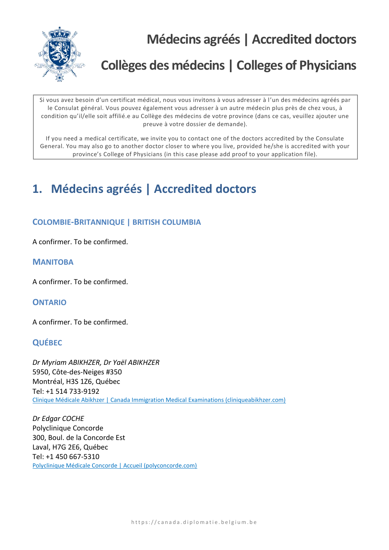

**Médecins agréés | Accredited doctors**

# **Collèges des médecins | Colleges of Physicians**

Si vous avez besoin d'un certificat médical, nous vous invitons à vous adresser à l'un des médecins agréés par le Consulat général. Vous pouvez également vous adresser à un autre médecin plus près de chez vous, à condition qu'il/elle soit affilié.e au Collège des médecins de votre province (dans ce cas, veuillez ajouter une preuve à votre dossier de demande).

If you need a medical certificate, we invite you to contact one of the doctors accredited by the Consulate General. You may also go to another doctor closer to where you live, provided he/she is accredited with your province's College of Physicians (in this case please add proof to your application file).

# **1. Médecins agréés | Accredited doctors**

### **COLOMBIE-BRITANNIQUE | BRITISH COLUMBIA**

A confirmer. To be confirmed.

#### **MANITOBA**

A confirmer. To be confirmed.

### **ONTARIO**

A confirmer. To be confirmed.

### **QUÉBEC**

*Dr Myriam ABIKHZER, Dr Yaël ABIKHZER* 5950, Côte-des-Neiges #350 Montréal, H3S 1Z6, Québec Tel: +1 514 733-9192 [Clinique Médicale Abikhzer | Canada Immigration Medical Examinations \(cliniqueabikhzer.com\)](https://cliniqueabikhzer.com/)

*Dr Edgar COCHE* Polyclinique Concorde 300, Boul. de la Concorde Est Laval, H7G 2E6, Québec Tel: +1 450 667-5310 [Polyclinique Médicale Concorde | Accueil \(polyconcorde.com\)](http://polyconcorde.com/accueil)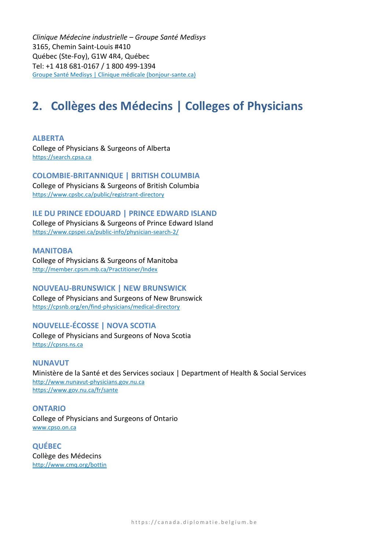*Clinique Médecine industrielle – Groupe Santé Medisys*  3165, Chemin Saint-Louis #410 Québec (Ste-Foy), G1W 4R4, Québec Tel: +1 418 681-0167 / 1 800 499-1394 [Groupe Santé Medisys | Clinique médicale \(bonjour-sante.ca\)](https://bonjour-sante.ca/uno/clinique/groupesmedisys)

## **2. Collèges des Médecins | Colleges of Physicians**

**ALBERTA** College of Physicians & Surgeons of Alberta [https://search.cpsa.ca](https://search.cpsa.ca/)

**COLOMBIE-BRITANNIQUE | BRITISH COLUMBIA** College of Physicians & Surgeons of British Columbia <https://www.cpsbc.ca/public/registrant-directory>

## **ILE DU PRINCE EDOUARD | PRINCE EDWARD ISLAND**

College of Physicians & Surgeons of Prince Edward Island <https://www.cpspei.ca/public-info/physician-search-2/>

**MANITOBA** College of Physicians & Surgeons of Manitoba <http://member.cpsm.mb.ca/Practitioner/Index>

**NOUVEAU-BRUNSWICK | NEW BRUNSWICK** College of Physicians and Surgeons of New Brunswick <https://cpsnb.org/en/find-physicians/medical-directory>

### **NOUVELLE-ÉCOSSE | NOVA SCOTIA**

College of Physicians and Surgeons of Nova Scotia [https://cpsns.ns.ca](https://cpsns.ns.ca/)

**NUNAVUT** Ministère de la Santé et des Services sociaux | Department of Health & Social Services [http://www.nunavut-physicians.gov.nu.ca](http://www.nunavut-physicians.gov.nu.ca/) <https://www.gov.nu.ca/fr/sante>

**ONTARIO** College of Physicians and Surgeons of Ontario www.cpso.on.ca

**QUÉBEC** Collège des Médecins <http://www.cmq.org/bottin>